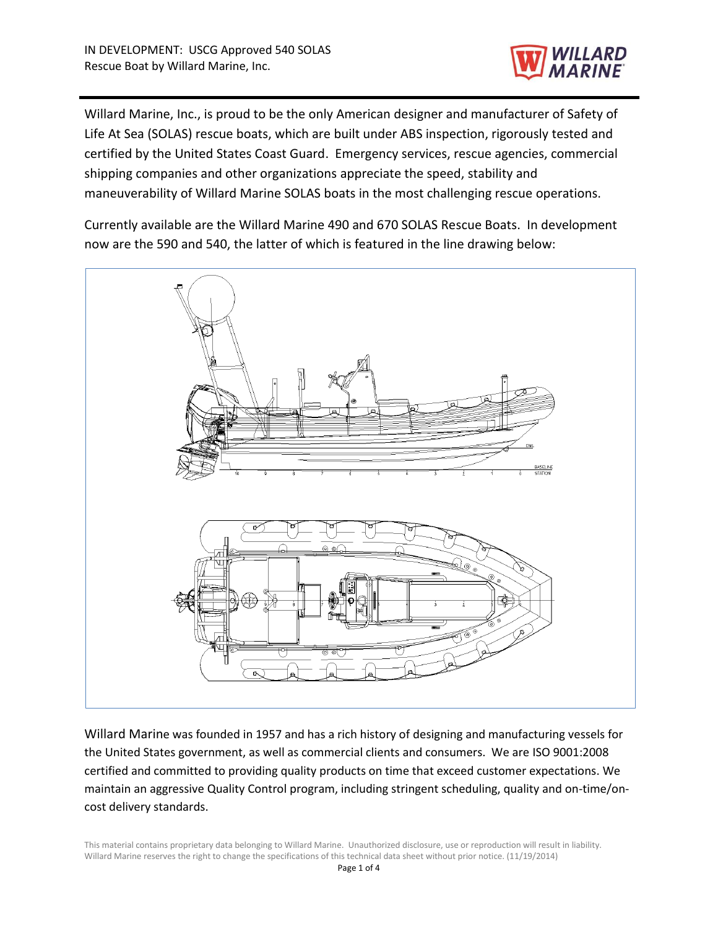

Willard Marine, Inc., is proud to be the only American designer and manufacturer of Safety of Life At Sea (SOLAS) rescue boats, which are built under ABS inspection, rigorously tested and certified by the United States Coast Guard. Emergency services, rescue agencies, commercial shipping companies and other organizations appreciate the speed, stability and maneuverability of Willard Marine SOLAS boats in the most challenging rescue operations.

Currently available are the Willard Marine 490 and 670 SOLAS Rescue Boats. In development now are the 590 and 540, the latter of which is featured in the line drawing below:



Willard Marine was founded in 1957 and has a rich history of designing and manufacturing vessels for the United States government, as well as commercial clients and consumers. We are ISO 9001:2008 certified and committed to providing quality products on time that exceed customer expectations. We maintain an aggressive Quality Control program, including stringent scheduling, quality and on-time/oncost delivery standards.

This material contains proprietary data belonging to Willard Marine. Unauthorized disclosure, use or reproduction will result in liability. Willard Marine reserves the right to change the specifications of this technical data sheet without prior notice. (11/19/2014)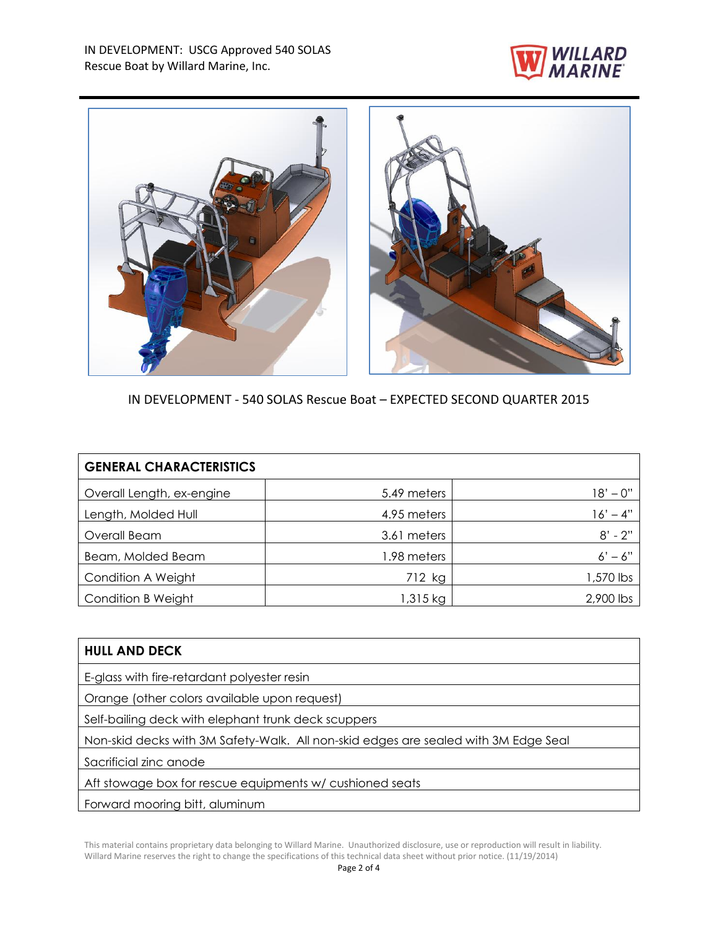



IN DEVELOPMENT - 540 SOLAS Rescue Boat – EXPECTED SECOND QUARTER 2015

| <b>GENERAL CHARACTERISTICS</b> |             |            |
|--------------------------------|-------------|------------|
| Overall Length, ex-engine      | 5.49 meters | 18' – 0''  |
| Length, Molded Hull            | 4.95 meters | $16' - 4"$ |
| Overall Beam                   | 3.61 meters | $8' - 2''$ |
| Beam, Molded Beam              | 1.98 meters | $6' - 6''$ |
| Condition A Weight             | 712 kg      | 1,570 lbs  |
| <b>Condition B Weight</b>      | $1,315$ kg  | 2,900 lbs  |

| <b>HULL AND DECK</b>                                                                |  |  |
|-------------------------------------------------------------------------------------|--|--|
| E-glass with fire-retardant polyester resin                                         |  |  |
| Orange (other colors available upon request)                                        |  |  |
| Self-bailing deck with elephant trunk deck scuppers                                 |  |  |
| Non-skid decks with 3M Safety-Walk. All non-skid edges are sealed with 3M Edge Seal |  |  |
| Sacrificial zinc anode                                                              |  |  |
| Aft stowage box for rescue equipments w/ cushioned seats                            |  |  |
| Forward mooring bitt, aluminum                                                      |  |  |

This material contains proprietary data belonging to Willard Marine. Unauthorized disclosure, use or reproduction will result in liability. Willard Marine reserves the right to change the specifications of this technical data sheet without prior notice. (11/19/2014)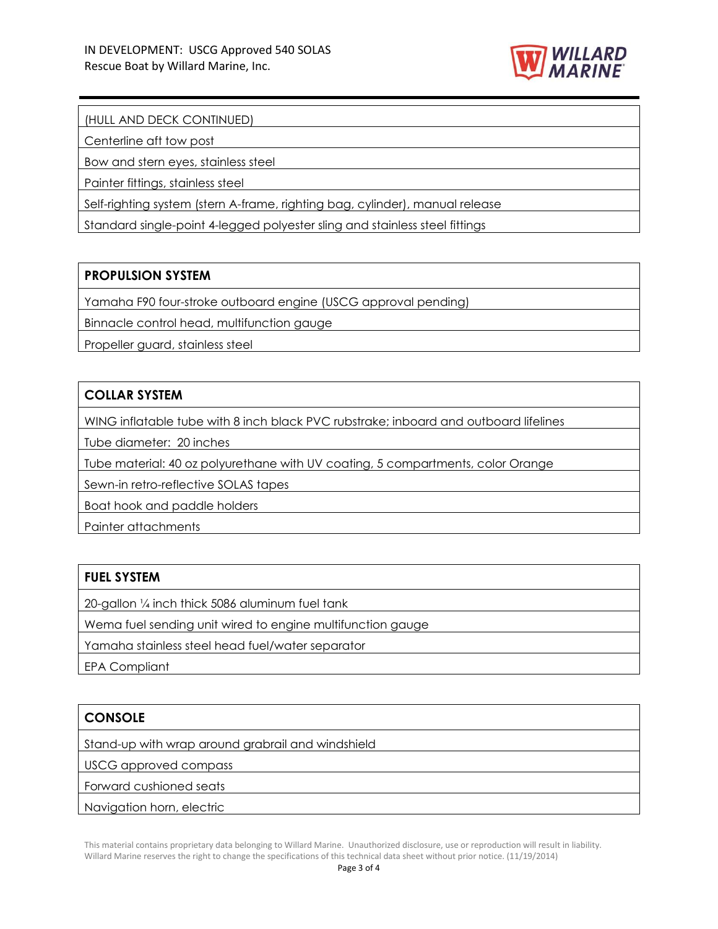

### (HULL AND DECK CONTINUED)

Centerline aft tow post

Bow and stern eyes, stainless steel

Painter fittings, stainless steel

Self-righting system (stern A-frame, righting bag, cylinder), manual release

Standard single-point 4-legged polyester sling and stainless steel fittings

### **PROPULSION SYSTEM**

Yamaha F90 four-stroke outboard engine (USCG approval pending)

Binnacle control head, multifunction gauge

Propeller guard, stainless steel

# **COLLAR SYSTEM**

WING inflatable tube with 8 inch black PVC rubstrake; inboard and outboard lifelines

Tube diameter: 20 inches

Tube material: 40 oz polyurethane with UV coating, 5 compartments, color Orange

Sewn-in retro-reflective SOLAS tapes

Boat hook and paddle holders

Painter attachments

#### **FUEL SYSTEM**

20-gallon ¼ inch thick 5086 aluminum fuel tank

Wema fuel sending unit wired to engine multifunction gauge

Yamaha stainless steel head fuel/water separator

EPA Compliant

### **CONSOLE**

Stand-up with wrap around grabrail and windshield

USCG approved compass

Forward cushioned seats

Navigation horn, electric

This material contains proprietary data belonging to Willard Marine. Unauthorized disclosure, use or reproduction will result in liability. Willard Marine reserves the right to change the specifications of this technical data sheet without prior notice. (11/19/2014)